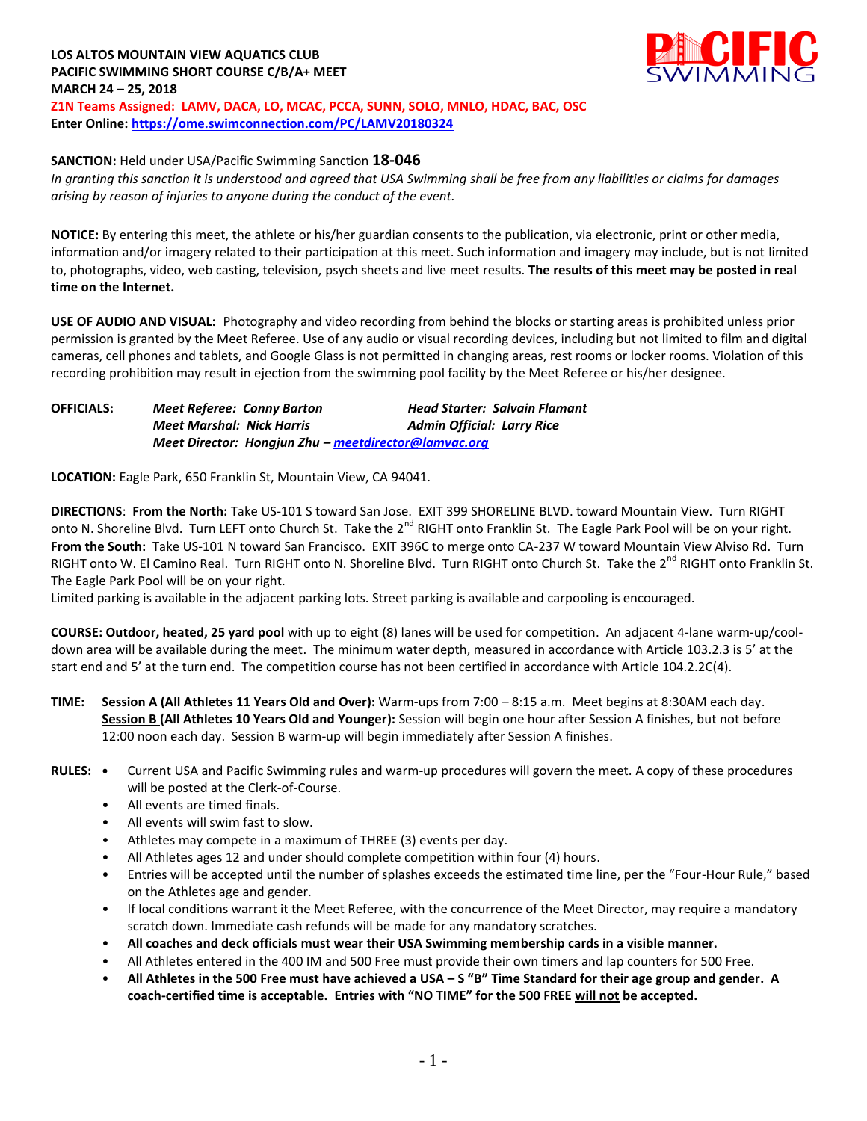# **LOS ALTOS MOUNTAIN VIEW AQUATICS CLUB PACIFIC SWIMMING SHORT COURSE C/B/A+ MEET MARCH 24 – 25, 2018**



**Z1N Teams Assigned: LAMV, DACA, LO, MCAC, PCCA, SUNN, SOLO, MNLO, HDAC, BAC, OSC Enter Online:<https://ome.swimconnection.com/PC/LAMV20180324>**

# **SANCTION:** Held under USA/Pacific Swimming Sanction **18-046**

*In granting this sanction it is understood and agreed that USA Swimming shall be free from any liabilities or claims for damages arising by reason of injuries to anyone during the conduct of the event.*

**NOTICE:** By entering this meet, the athlete or his/her guardian consents to the publication, via electronic, print or other media, information and/or imagery related to their participation at this meet. Such information and imagery may include, but is not limited to, photographs, video, web casting, television, psych sheets and live meet results. **The results of this meet may be posted in real time on the Internet.**

**USE OF AUDIO AND VISUAL:** Photography and video recording from behind the blocks or starting areas is prohibited unless prior permission is granted by the Meet Referee. Use of any audio or visual recording devices, including but not limited to film and digital cameras, cell phones and tablets, and Google Glass is not permitted in changing areas, rest rooms or locker rooms. Violation of this recording prohibition may result in ejection from the swimming pool facility by the Meet Referee or his/her designee.

**OFFICIALS:** *Meet Referee: Conny Barton Head Starter: Salvain Flamant Meet Marshal: Nick Harris Admin Official: Larry Rice Meet Director: Hongjun Zhu – [meetdirector@lamvac.org](mailto:meetdirector@lamvac.org)*

**LOCATION:** Eagle Park, 650 Franklin St, Mountain View, CA 94041.

**DIRECTIONS**: **From the North:** Take US-101 S toward San Jose. EXIT 399 SHORELINE BLVD. toward Mountain View. Turn RIGHT onto N. Shoreline Blvd. Turn LEFT onto Church St. Take the 2<sup>nd</sup> RIGHT onto Franklin St. The Eagle Park Pool will be on your right. **From the South:** Take US-101 N toward San Francisco. EXIT 396C to merge onto CA-237 W toward Mountain View Alviso Rd. Turn RIGHT onto W. El Camino Real. Turn RIGHT onto N. Shoreline Blvd. Turn RIGHT onto Church St. Take the 2<sup>nd</sup> RIGHT onto Franklin St. The Eagle Park Pool will be on your right.

Limited parking is available in the adjacent parking lots. Street parking is available and carpooling is encouraged.

**COURSE: Outdoor, heated, 25 yard pool** with up to eight (8) lanes will be used for competition. An adjacent 4-lane warm-up/cooldown area will be available during the meet. The minimum water depth, measured in accordance with Article 103.2.3 is 5' at the start end and 5' at the turn end. The competition course has not been certified in accordance with Article 104.2.2C(4).

- **TIME: Session A (All Athletes 11 Years Old and Over):** Warm-ups from 7:00 8:15 a.m. Meet begins at 8:30AM each day. **Session B (All Athletes 10 Years Old and Younger):** Session will begin one hour after Session A finishes, but not before 12:00 noon each day. Session B warm-up will begin immediately after Session A finishes.
- **RULES: •** Current USA and Pacific Swimming rules and warm-up procedures will govern the meet. A copy of these procedures will be posted at the Clerk-of-Course.
	- All events are timed finals.
	- All events will swim fast to slow.
	- Athletes may compete in a maximum of THREE (3) events per day.
	- All Athletes ages 12 and under should complete competition within four (4) hours.
	- Entries will be accepted until the number of splashes exceeds the estimated time line, per the "Four-Hour Rule," based on the Athletes age and gender.
	- If local conditions warrant it the Meet Referee, with the concurrence of the Meet Director, may require a mandatory scratch down. Immediate cash refunds will be made for any mandatory scratches.
	- **All coaches and deck officials must wear their USA Swimming membership cards in a visible manner.**
	- All Athletes entered in the 400 IM and 500 Free must provide their own timers and lap counters for 500 Free.
	- **All Athletes in the 500 Free must have achieved a USA – S "B" Time Standard for their age group and gender. A coach-certified time is acceptable. Entries with "NO TIME" for the 500 FREE will not be accepted.**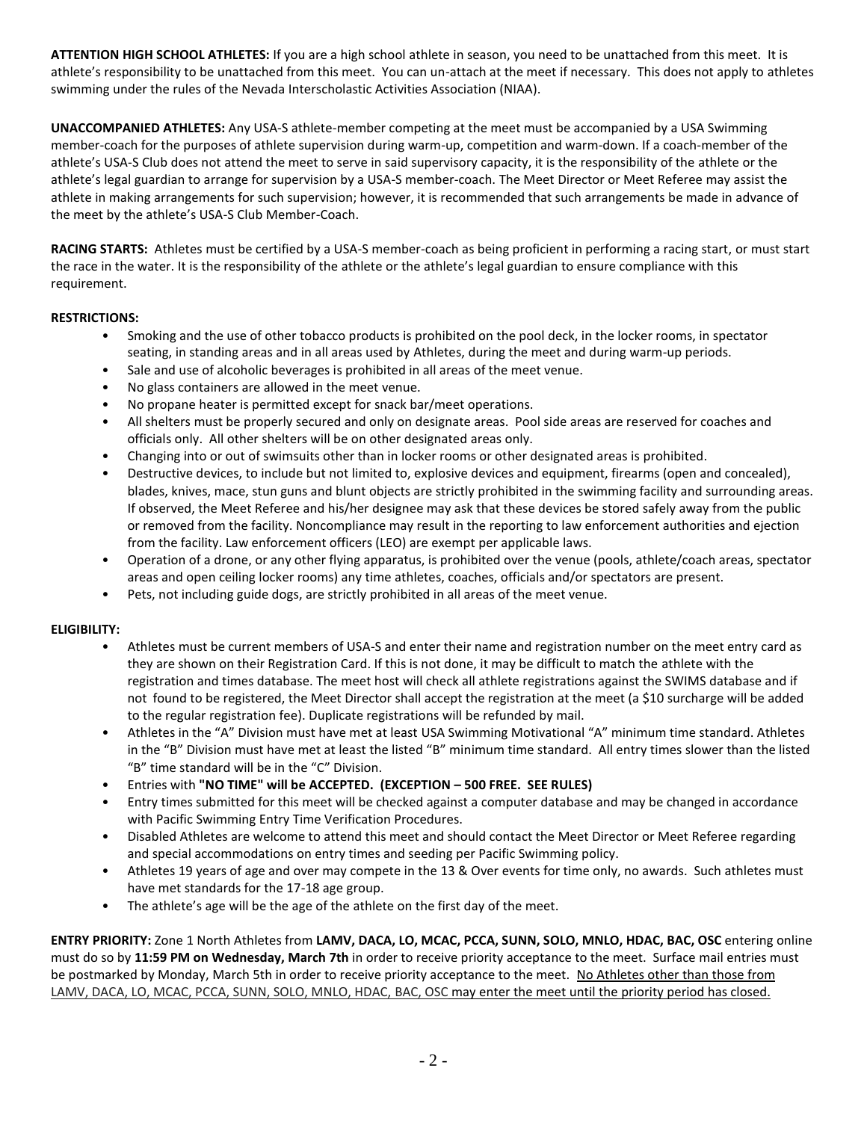**ATTENTION HIGH SCHOOL ATHLETES:** If you are a high school athlete in season, you need to be unattached from this meet. It is athlete's responsibility to be unattached from this meet. You can un-attach at the meet if necessary. This does not apply to athletes swimming under the rules of the Nevada Interscholastic Activities Association (NIAA).

**UNACCOMPANIED ATHLETES:** Any USA-S athlete-member competing at the meet must be accompanied by a USA Swimming member-coach for the purposes of athlete supervision during warm-up, competition and warm-down. If a coach-member of the athlete's USA-S Club does not attend the meet to serve in said supervisory capacity, it is the responsibility of the athlete or the athlete's legal guardian to arrange for supervision by a USA-S member-coach. The Meet Director or Meet Referee may assist the athlete in making arrangements for such supervision; however, it is recommended that such arrangements be made in advance of the meet by the athlete's USA-S Club Member-Coach.

**RACING STARTS:** Athletes must be certified by a USA-S member-coach as being proficient in performing a racing start, or must start the race in the water. It is the responsibility of the athlete or the athlete's legal guardian to ensure compliance with this requirement.

## **RESTRICTIONS:**

- Smoking and the use of other tobacco products is prohibited on the pool deck, in the locker rooms, in spectator seating, in standing areas and in all areas used by Athletes, during the meet and during warm-up periods.
- Sale and use of alcoholic beverages is prohibited in all areas of the meet venue.
- No glass containers are allowed in the meet venue.
- No propane heater is permitted except for snack bar/meet operations.
- All shelters must be properly secured and only on designate areas. Pool side areas are reserved for coaches and officials only. All other shelters will be on other designated areas only.
- Changing into or out of swimsuits other than in locker rooms or other designated areas is prohibited.
- Destructive devices, to include but not limited to, explosive devices and equipment, firearms (open and concealed), blades, knives, mace, stun guns and blunt objects are strictly prohibited in the swimming facility and surrounding areas. If observed, the Meet Referee and his/her designee may ask that these devices be stored safely away from the public or removed from the facility. Noncompliance may result in the reporting to law enforcement authorities and ejection from the facility. Law enforcement officers (LEO) are exempt per applicable laws.
- Operation of a drone, or any other flying apparatus, is prohibited over the venue (pools, athlete/coach areas, spectator areas and open ceiling locker rooms) any time athletes, coaches, officials and/or spectators are present.
- Pets, not including guide dogs, are strictly prohibited in all areas of the meet venue.

#### **ELIGIBILITY:**

- Athletes must be current members of USA-S and enter their name and registration number on the meet entry card as they are shown on their Registration Card. If this is not done, it may be difficult to match the athlete with the registration and times database. The meet host will check all athlete registrations against the SWIMS database and if not found to be registered, the Meet Director shall accept the registration at the meet (a \$10 surcharge will be added to the regular registration fee). Duplicate registrations will be refunded by mail.
- Athletes in the "A" Division must have met at least USA Swimming Motivational "A" minimum time standard. Athletes in the "B" Division must have met at least the listed "B" minimum time standard. All entry times slower than the listed "B" time standard will be in the "C" Division.
- Entries with **"NO TIME" will be ACCEPTED. (EXCEPTION – 500 FREE. SEE RULES)**
- Entry times submitted for this meet will be checked against a computer database and may be changed in accordance with Pacific Swimming Entry Time Verification Procedures.
- Disabled Athletes are welcome to attend this meet and should contact the Meet Director or Meet Referee regarding and special accommodations on entry times and seeding per Pacific Swimming policy.
- Athletes 19 years of age and over may compete in the 13 & Over events for time only, no awards. Such athletes must have met standards for the 17-18 age group.
- The athlete's age will be the age of the athlete on the first day of the meet.

**ENTRY PRIORITY:** Zone 1 North Athletes from **LAMV, DACA, LO, MCAC, PCCA, SUNN, SOLO, MNLO, HDAC, BAC, OSC** entering online must do so by **11:59 PM on Wednesday, March 7th** in order to receive priority acceptance to the meet. Surface mail entries must be postmarked by Monday, March 5th in order to receive priority acceptance to the meet. No Athletes other than those from LAMV, DACA, LO, MCAC, PCCA, SUNN, SOLO, MNLO, HDAC, BAC, OSC may enter the meet until the priority period has closed.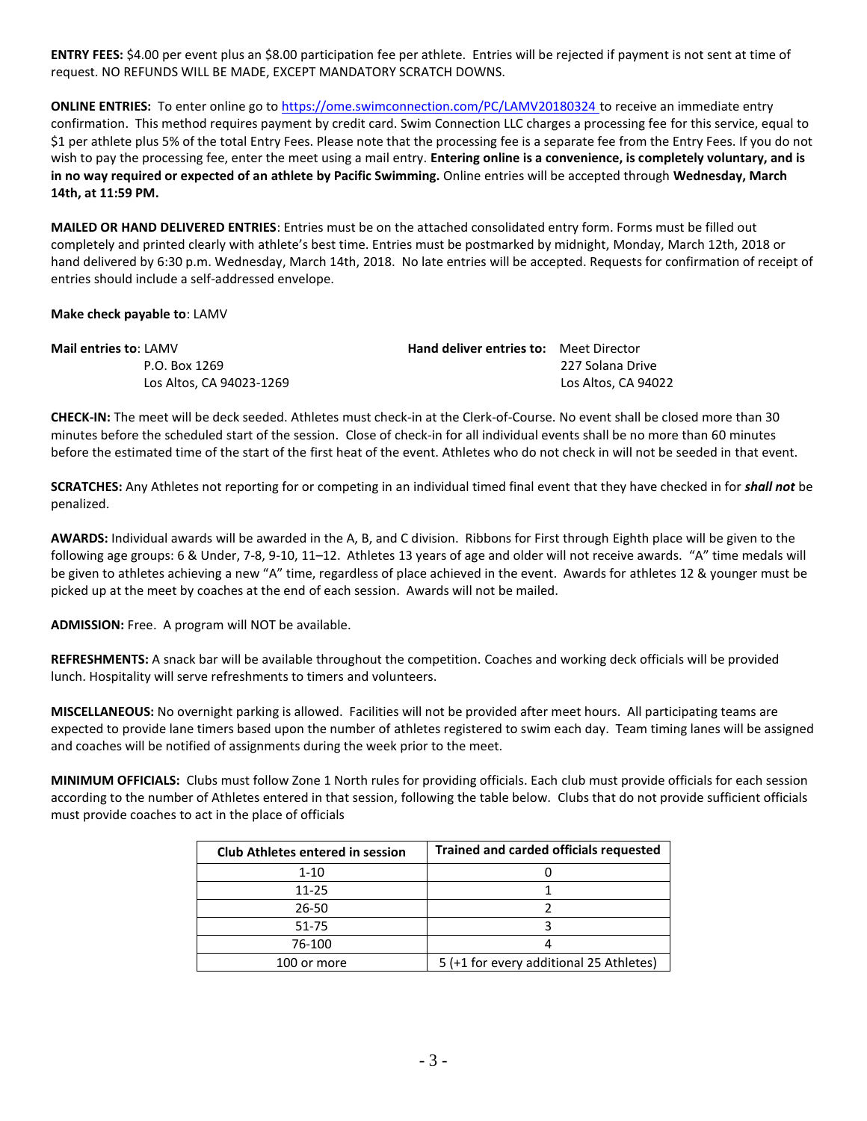**ENTRY FEES:** \$4.00 per event plus an \$8.00 participation fee per athlete. Entries will be rejected if payment is not sent at time of request. NO REFUNDS WILL BE MADE, EXCEPT MANDATORY SCRATCH DOWNS.

**ONLINE ENTRIES:** To enter online go to<https://ome.swimconnection.com/PC/LAMV20180324> to receive an immediate entry confirmation. This method requires payment by credit card. Swim Connection LLC charges a processing fee for this service, equal to \$1 per athlete plus 5% of the total Entry Fees. Please note that the processing fee is a separate fee from the Entry Fees. If you do not wish to pay the processing fee, enter the meet using a mail entry. **Entering online is a convenience, is completely voluntary, and is in no way required or expected of an athlete by Pacific Swimming.** Online entries will be accepted through **Wednesday, March 14th, at 11:59 PM.**

**MAILED OR HAND DELIVERED ENTRIES**: Entries must be on the attached consolidated entry form. Forms must be filled out completely and printed clearly with athlete's best time. Entries must be postmarked by midnight, Monday, March 12th, 2018 or hand delivered by 6:30 p.m. Wednesday, March 14th, 2018. No late entries will be accepted. Requests for confirmation of receipt of entries should include a self-addressed envelope.

**Make check payable to**: LAMV

| <b>Mail entries to: LAMV</b> | <b>Hand deliver entries to:</b> Meet Director |                     |
|------------------------------|-----------------------------------------------|---------------------|
| P.O. Box 1269                |                                               | - 227 Solana Drive  |
| Los Altos, CA 94023-1269     |                                               | Los Altos, CA 94022 |

**CHECK-IN:** The meet will be deck seeded. Athletes must check-in at the Clerk-of-Course. No event shall be closed more than 30 minutes before the scheduled start of the session. Close of check-in for all individual events shall be no more than 60 minutes before the estimated time of the start of the first heat of the event. Athletes who do not check in will not be seeded in that event.

**SCRATCHES:** Any Athletes not reporting for or competing in an individual timed final event that they have checked in for *shall not* be penalized.

**AWARDS:** Individual awards will be awarded in the A, B, and C division. Ribbons for First through Eighth place will be given to the following age groups: 6 & Under, 7-8, 9-10, 11–12. Athletes 13 years of age and older will not receive awards. "A" time medals will be given to athletes achieving a new "A" time, regardless of place achieved in the event. Awards for athletes 12 & younger must be picked up at the meet by coaches at the end of each session. Awards will not be mailed.

**ADMISSION:** Free. A program will NOT be available.

**REFRESHMENTS:** A snack bar will be available throughout the competition. Coaches and working deck officials will be provided lunch. Hospitality will serve refreshments to timers and volunteers.

**MISCELLANEOUS:** No overnight parking is allowed. Facilities will not be provided after meet hours. All participating teams are expected to provide lane timers based upon the number of athletes registered to swim each day. Team timing lanes will be assigned and coaches will be notified of assignments during the week prior to the meet.

**MINIMUM OFFICIALS:** Clubs must follow Zone 1 North rules for providing officials. Each club must provide officials for each session according to the number of Athletes entered in that session, following the table below. Clubs that do not provide sufficient officials must provide coaches to act in the place of officials

| <b>Club Athletes entered in session</b> | <b>Trained and carded officials requested</b> |  |  |  |  |  |  |
|-----------------------------------------|-----------------------------------------------|--|--|--|--|--|--|
| $1 - 10$                                |                                               |  |  |  |  |  |  |
| 11-25                                   |                                               |  |  |  |  |  |  |
| 26-50                                   |                                               |  |  |  |  |  |  |
| 51-75                                   |                                               |  |  |  |  |  |  |
| 76-100                                  |                                               |  |  |  |  |  |  |
| 100 or more                             | 5 (+1 for every additional 25 Athletes)       |  |  |  |  |  |  |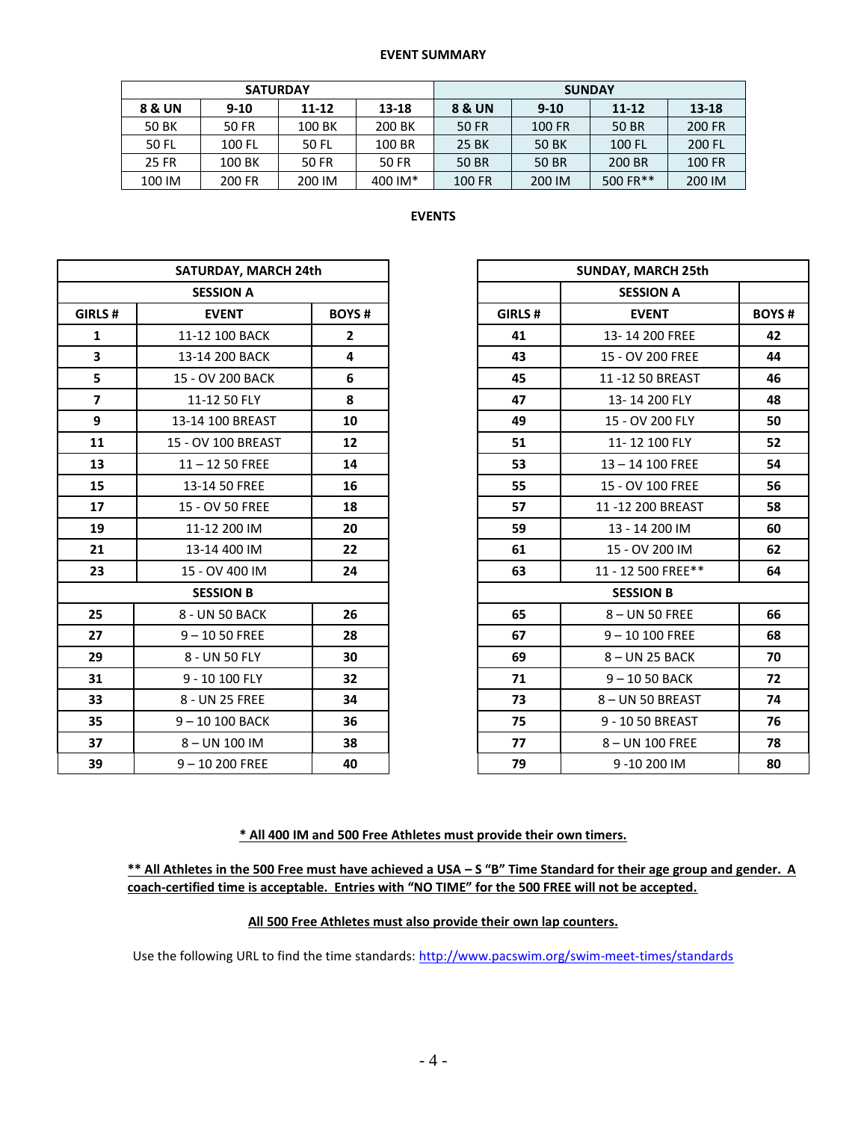|                   | <b>SATURDAY</b> |        |         | <b>SUNDAY</b> |          |           |               |  |  |  |
|-------------------|-----------------|--------|---------|---------------|----------|-----------|---------------|--|--|--|
| <b>8 &amp; UN</b> | $9 - 10$        | 11-12  | 13-18   | 8 & UN        | $9 - 10$ | $11 - 12$ | $13 - 18$     |  |  |  |
| 50 BK             | 50 FR           | 100 BK | 200 BK  | 50 FR         | 100 FR   | 50 BR     | 200 FR        |  |  |  |
| 50 FL             | 100 FL          | 50 FL  | 100 BR  | 25 BK         | 50 BK    | 100 FL    | 200 FL        |  |  |  |
| 25 FR             | 100 BK          | 50 FR  | 50 FR   | 50 BR         | 50 BR    | 200 BR    | <b>100 FR</b> |  |  |  |
| 100 IM            | 200 FR          | 200 IM | 400 IM* | 100 FR        | 200 IM   | 500 FR**  | 200 IM        |  |  |  |

### **EVENTS**

|                | SATURDAY, MARCH 24th |                | <b>SUNDAY, MARCI</b> |                  |
|----------------|----------------------|----------------|----------------------|------------------|
|                | <b>SESSION A</b>     |                | <b>SESSION</b>       |                  |
| GIRLS #        | <b>EVENT</b>         | <b>BOYS#</b>   | GIRLS#               | <b>EVENT</b>     |
| $\mathbf{1}$   | 11-12 100 BACK       | $\overline{2}$ | 41                   | 13-14 200 F      |
| 3              | 13-14 200 BACK       | 4              | 43                   | 15 - OV 200      |
| 5              | 15 - OV 200 BACK     | 6              | 45                   | 11-12 50 BR      |
| $\overline{7}$ | 11-12 50 FLY         | 8              | 47                   | 13-14 200        |
| 9              | 13-14 100 BREAST     | 10             | 49                   | 15 - OV 200      |
| 11             | 15 - OV 100 BREAST   | 12             | 51                   | 11-12 100        |
| 13             | $11 - 1250$ FREE     | 14             | 53                   | $13 - 14$ 100    |
| 15             | 13-14 50 FREE        | 16             | 55                   | 15 - OV 100      |
| 17             | 15 - OV 50 FREE      | 18             | 57                   | 11-12 200 BF     |
| 19             | 11-12 200 IM         | 20             | 59                   | 13 - 14 200      |
| 21             | 13-14 400 IM         | 22             | 61                   | 15 - OV 200      |
| 23             | 15 - OV 400 IM       | 24             | 63                   | 11 - 12 500 FF   |
|                | <b>SESSION B</b>     |                |                      | <b>SESSION B</b> |
| 25             | 8 - UN 50 BACK       | 26             | 65                   | $8 - UN 50 F$    |
| 27             | $9 - 1050$ FREE      | 28             | 67                   | $9 - 10100F$     |
| 29             | 8 - UN 50 FLY        | 30             | 69                   | $8 - UN 25 B$    |
| 31             | 9 - 10 100 FLY       | 32             | 71                   | $9 - 1050B$      |
| 33             | 8 - UN 25 FREE       | 34             | 73                   | $8 - UN 50 BR$   |
| 35             | 9-10 100 BACK        | 36             | 75                   | 9 - 10 50 BRI    |
| 37             | 8-UN 100 IM          | 38             | 77                   | $8 - UN$ 100 F   |
| 39             | $9 - 10200$ FREE     | 40             | 79                   | 9-10 2001        |

| SATURDAY, MARCH 24th    |                    |                         | SUNDAY, MARCH 25th |                    |              |  |  |  |  |
|-------------------------|--------------------|-------------------------|--------------------|--------------------|--------------|--|--|--|--|
|                         | <b>SESSION A</b>   |                         |                    | <b>SESSION A</b>   |              |  |  |  |  |
| GIRLS #                 | <b>EVENT</b>       | <b>BOYS#</b>            | GIRLS#             | <b>EVENT</b>       | <b>BOYS#</b> |  |  |  |  |
| $\mathbf{1}$            | 11-12 100 BACK     | $\overline{2}$          | 41                 | 13-14 200 FREE     | 42           |  |  |  |  |
| 3                       | 13-14 200 BACK     | $\overline{\mathbf{4}}$ | 43                 | 15 - OV 200 FREE   | 44           |  |  |  |  |
| 5                       | 15 - OV 200 BACK   | 6                       | 45                 | 11-12 50 BREAST    | 46           |  |  |  |  |
| $\overline{\mathbf{z}}$ | 11-12 50 FLY       | 8                       | 47                 | 13-14 200 FLY      | 48           |  |  |  |  |
| 9                       | 13-14 100 BREAST   | 10                      | 49                 | 15 - OV 200 FLY    | 50           |  |  |  |  |
| 11                      | 15 - OV 100 BREAST | 12                      | 51                 | 11-12 100 FLY      | 52           |  |  |  |  |
| 13                      | $11 - 1250$ FREE   | 14                      | 53                 | $13 - 14$ 100 FREE | 54           |  |  |  |  |
| 15                      | 13-14 50 FREE      | 16                      | 55                 | 15 - OV 100 FREE   | 56           |  |  |  |  |
| 17                      | 15 - OV 50 FREE    | 18                      | 57                 | 11-12 200 BREAST   | 58           |  |  |  |  |
| 19                      | 11-12 200 IM       | 20                      | 59                 | 13 - 14 200 IM     | 60           |  |  |  |  |
| 21                      | 13-14 400 IM       | 22                      | 61                 | 15 - OV 200 IM     | 62           |  |  |  |  |
| 23                      | 15 - OV 400 IM     | 24                      | 63                 | 11 - 12 500 FREE** | 64           |  |  |  |  |
|                         | <b>SESSION B</b>   |                         |                    | <b>SESSION B</b>   |              |  |  |  |  |
| 25                      | 8 - UN 50 BACK     | 26                      | 65                 | 8-UN 50 FREE       | 66           |  |  |  |  |
| 27                      | $9 - 1050$ FREE    | 28                      | 67                 | $9 - 10100$ FREE   | 68           |  |  |  |  |
| 29                      | 8 - UN 50 FLY      | 30                      | 69                 | 8-UN 25 BACK       | 70           |  |  |  |  |
| 31                      | 9 - 10 100 FLY     | 32                      | 71                 | $9 - 1050$ BACK    | 72           |  |  |  |  |
| 33                      | 8 - UN 25 FREE     | 34                      | 73                 | 8-UN 50 BREAST     | 74           |  |  |  |  |
| 35                      | $9 - 10100$ BACK   | 36                      | 75                 | 9 - 10 50 BREAST   | 76           |  |  |  |  |
| 37                      | $8 - UN$ 100 IM    | 38                      | 77                 | 8-UN 100 FREE      | 78           |  |  |  |  |
| 39                      | $9 - 10200$ FREE   | 40                      | 79                 | 9-10 200 IM        | 80           |  |  |  |  |

## **\* All 400 IM and 500 Free Athletes must provide their own timers.**

**\*\* All Athletes in the 500 Free must have achieved a USA – S "B" Time Standard for their age group and gender. A coach-certified time is acceptable. Entries with "NO TIME" for the 500 FREE will not be accepted.** 

# **All 500 Free Athletes must also provide their own lap counters.**

Use the following URL to find the time standards:<http://www.pacswim.org/swim-meet-times/standards>